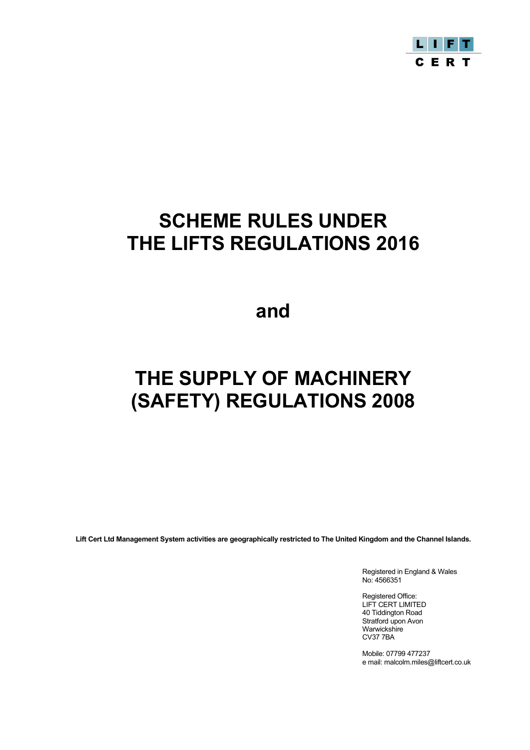

# **SCHEME RULES UNDER THE LIFTS REGULATIONS 2016**

**and**

# **THE SUPPLY OF MACHINERY (SAFETY) REGULATIONS 2008**

**Lift Cert Ltd Management System activities are geographically restricted to The United Kingdom and the Channel Islands.**

Registered in England & Wales No: 4566351

Registered Office: LIFT CERT LIMITED 40 Tiddington Road Stratford upon Avon Warwickshire CV37 7BA

Mobile: 07799 477237 e mail: malcolm.miles@liftcert.co.uk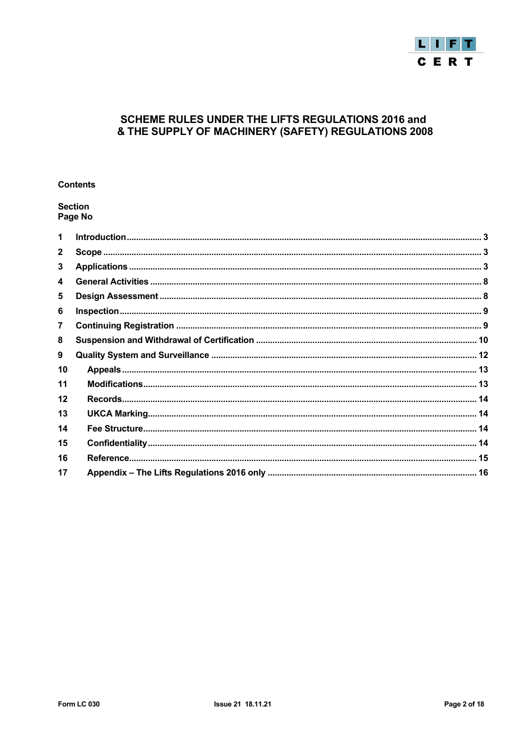

# SCHEME RULES UNDER THE LIFTS REGULATIONS 2016 and & THE SUPPLY OF MACHINERY (SAFETY) REGULATIONS 2008

# **Contents**

# **Section** Page No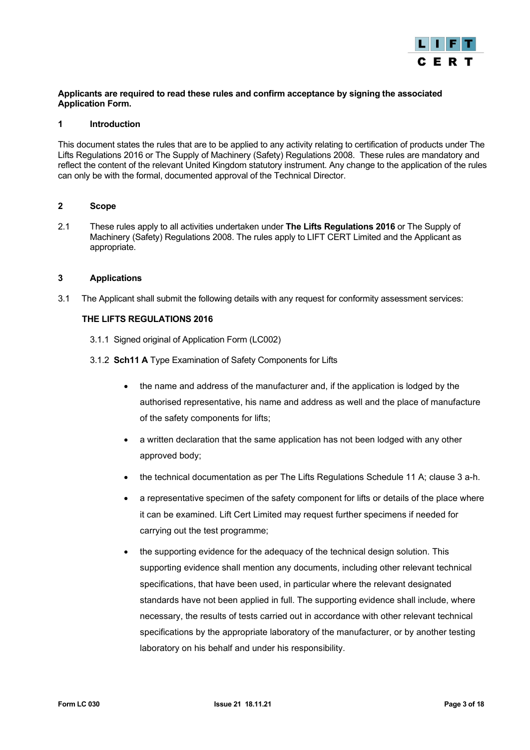

# **Applicants are required to read these rules and confirm acceptance by signing the associated Application Form.**

# <span id="page-2-0"></span>**1 Introduction**

This document states the rules that are to be applied to any activity relating to certification of products under The Lifts Regulations 2016 or The Supply of Machinery (Safety) Regulations 2008. These rules are mandatory and reflect the content of the relevant United Kingdom statutory instrument. Any change to the application of the rules can only be with the formal, documented approval of the Technical Director.

# <span id="page-2-1"></span>**2 Scope**

2.1 These rules apply to all activities undertaken under **The Lifts Regulations 2016** or The Supply of Machinery (Safety) Regulations 2008. The rules apply to LIFT CERT Limited and the Applicant as appropriate.

# <span id="page-2-2"></span>**3 Applications**

3.1 The Applicant shall submit the following details with any request for conformity assessment services:

# **THE LIFTS REGULATIONS 2016**

- 3.1.1 Signed original of Application Form (LC002)
- 3.1.2 **Sch11 A** Type Examination of Safety Components for Lifts
	- the name and address of the manufacturer and, if the application is lodged by the authorised representative, his name and address as well and the place of manufacture of the safety components for lifts;
	- a written declaration that the same application has not been lodged with any other approved body;
	- the technical documentation as per The Lifts Regulations Schedule 11 A; clause 3 a-h.
	- a representative specimen of the safety component for lifts or details of the place where it can be examined. Lift Cert Limited may request further specimens if needed for carrying out the test programme;
	- the supporting evidence for the adequacy of the technical design solution. This supporting evidence shall mention any documents, including other relevant technical specifications, that have been used, in particular where the relevant designated standards have not been applied in full. The supporting evidence shall include, where necessary, the results of tests carried out in accordance with other relevant technical specifications by the appropriate laboratory of the manufacturer, or by another testing laboratory on his behalf and under his responsibility.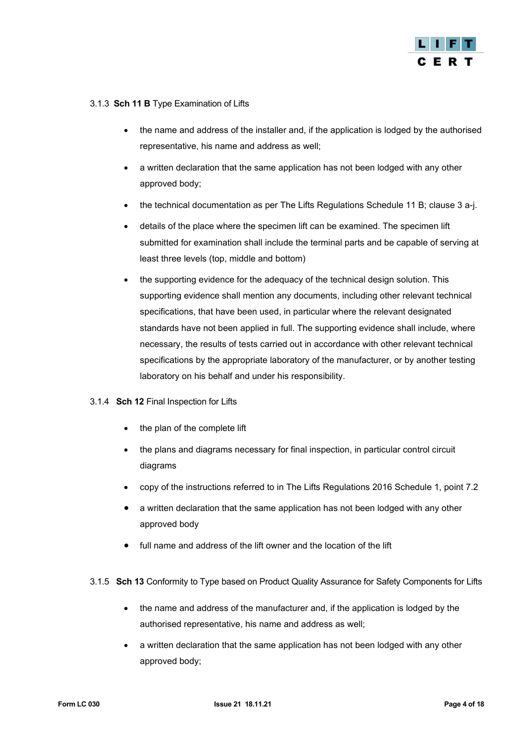

# 3.1.3 **Sch 11 B** Type Examination of Lifts

- the name and address of the installer and, if the application is lodged by the authorised representative, his name and address as well;
- a written declaration that the same application has not been lodged with any other approved body;
- the technical documentation as per The Lifts Regulations Schedule 11 B; clause 3 a-j.
- details of the place where the specimen lift can be examined. The specimen lift submitted for examination shall include the terminal parts and be capable of serving at least three levels (top, middle and bottom)
- the supporting evidence for the adequacy of the technical design solution. This supporting evidence shall mention any documents, including other relevant technical specifications, that have been used, in particular where the relevant designated standards have not been applied in full. The supporting evidence shall include, where necessary, the results of tests carried out in accordance with other relevant technical specifications by the appropriate laboratory of the manufacturer, or by another testing laboratory on his behalf and under his responsibility.

# 3.1.4 **Sch 12** Final Inspection for Lifts

- the plan of the complete lift
- the plans and diagrams necessary for final inspection, in particular control circuit diagrams
- copy of the instructions referred to in The Lifts Regulations 2016 Schedule 1, point 7.2
- a written declaration that the same application has not been lodged with any other approved body
- full name and address of the lift owner and the location of the lift
- 3.1.5 **Sch 13** Conformity to Type based on Product Quality Assurance for Safety Components for Lifts
	- the name and address of the manufacturer and, if the application is lodged by the authorised representative, his name and address as well;
	- a written declaration that the same application has not been lodged with any other approved body;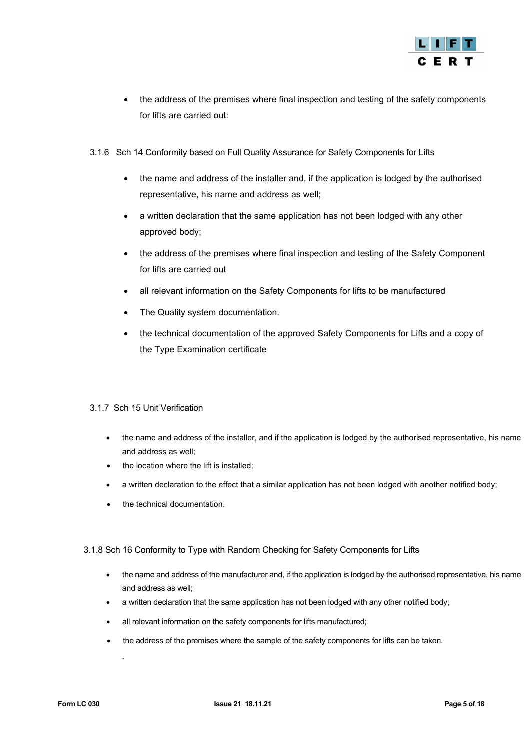

- the address of the premises where final inspection and testing of the safety components for lifts are carried out:
- 3.1.6 Sch 14 Conformity based on Full Quality Assurance for Safety Components for Lifts
	- the name and address of the installer and, if the application is lodged by the authorised representative, his name and address as well;
	- a written declaration that the same application has not been lodged with any other approved body;
	- the address of the premises where final inspection and testing of the Safety Component for lifts are carried out
	- all relevant information on the Safety Components for lifts to be manufactured
	- The Quality system documentation.
	- the technical documentation of the approved Safety Components for Lifts and a copy of the Type Examination certificate

# 3.1.7 Sch 15 Unit Verification

- the name and address of the installer, and if the application is lodged by the authorised representative, his name and address as well;
- the location where the lift is installed;
- a written declaration to the effect that a similar application has not been lodged with another notified body;
- the technical documentation.

# 3.1.8 Sch 16 Conformity to Type with Random Checking for Safety Components for Lifts

- the name and address of the manufacturer and, if the application is lodged by the authorised representative, his name and address as well;
- a written declaration that the same application has not been lodged with any other notified body;
- all relevant information on the safety components for lifts manufactured;
- the address of the premises where the sample of the safety components for lifts can be taken.

.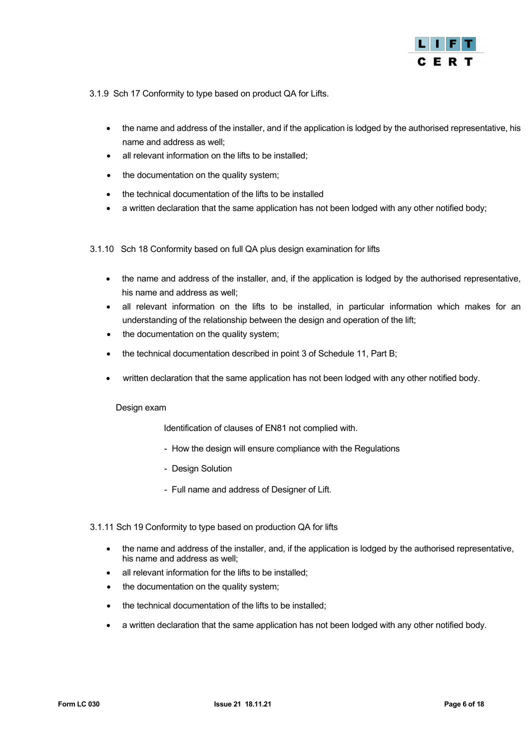

3.1.9 Sch 17 Conformity to type based on product QA for Lifts.

- the name and address of the installer, and if the application is lodged by the authorised representative, his name and address as well;
- all relevant information on the lifts to be installed;
- the documentation on the quality system;
- the technical documentation of the lifts to be installed
- a written declaration that the same application has not been lodged with any other notified body;
- 3.1.10 Sch 18 Conformity based on full QA plus design examination for lifts
	- the name and address of the installer, and, if the application is lodged by the authorised representative, his name and address as well;
	- all relevant information on the lifts to be installed, in particular information which makes for an understanding of the relationship between the design and operation of the lift;
	- the documentation on the quality system;
	- the technical documentation described in point 3 of Schedule 11, Part B;
	- written declaration that the same application has not been lodged with any other notified body.

# Design exam

Identification of clauses of EN81 not complied with.

- How the design will ensure compliance with the Regulations
- Design Solution
- Full name and address of Designer of Lift.

# 3.1.11 Sch 19 Conformity to type based on production QA for lifts

- the name and address of the installer, and, if the application is lodged by the authorised representative, his name and address as well;
- all relevant information for the lifts to be installed;
- the documentation on the quality system;
- the technical documentation of the lifts to be installed;
- a written declaration that the same application has not been lodged with any other notified body.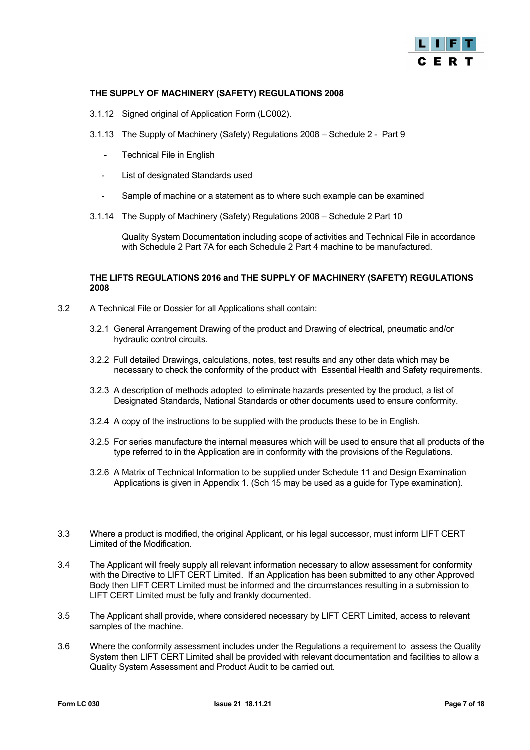

# **THE SUPPLY OF MACHINERY (SAFETY) REGULATIONS 2008**

- 3.1.12 Signed original of Application Form (LC002).
- 3.1.13 The Supply of Machinery (Safety) Regulations 2008 Schedule 2 Part 9
	- Technical File in English
	- List of designated Standards used
	- Sample of machine or a statement as to where such example can be examined
- 3.1.14 The Supply of Machinery (Safety) Regulations 2008 Schedule 2 Part 10

Quality System Documentation including scope of activities and Technical File in accordance with Schedule 2 Part 7A for each Schedule 2 Part 4 machine to be manufactured.

# **THE LIFTS REGULATIONS 2016 and THE SUPPLY OF MACHINERY (SAFETY) REGULATIONS 2008**

- 3.2 A Technical File or Dossier for all Applications shall contain:
	- 3.2.1 General Arrangement Drawing of the product and Drawing of electrical, pneumatic and/or hydraulic control circuits.
	- 3.2.2 Full detailed Drawings, calculations, notes, test results and any other data which may be necessary to check the conformity of the product with Essential Health and Safety requirements.
	- 3.2.3 A description of methods adopted to eliminate hazards presented by the product, a list of Designated Standards, National Standards or other documents used to ensure conformity.
	- 3.2.4 A copy of the instructions to be supplied with the products these to be in English.
	- 3.2.5 For series manufacture the internal measures which will be used to ensure that all products of the type referred to in the Application are in conformity with the provisions of the Regulations.
	- 3.2.6 A Matrix of Technical Information to be supplied under Schedule 11 and Design Examination Applications is given in Appendix 1. (Sch 15 may be used as a guide for Type examination).
- 3.3 Where a product is modified, the original Applicant, or his legal successor, must inform LIFT CERT Limited of the Modification.
- 3.4 The Applicant will freely supply all relevant information necessary to allow assessment for conformity with the Directive to LIFT CERT Limited. If an Application has been submitted to any other Approved Body then LIFT CERT Limited must be informed and the circumstances resulting in a submission to LIFT CERT Limited must be fully and frankly documented.
- 3.5 The Applicant shall provide, where considered necessary by LIFT CERT Limited, access to relevant samples of the machine.
- 3.6 Where the conformity assessment includes under the Regulations a requirement to assess the Quality System then LIFT CERT Limited shall be provided with relevant documentation and facilities to allow a Quality System Assessment and Product Audit to be carried out.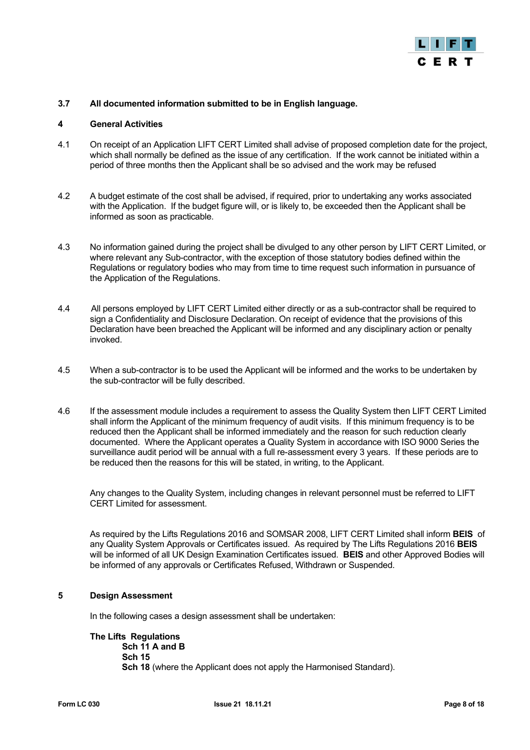

# **3.7 All documented information submitted to be in English language.**

# <span id="page-7-0"></span>**4 General Activities**

- 4.1 On receipt of an Application LIFT CERT Limited shall advise of proposed completion date for the project, which shall normally be defined as the issue of any certification. If the work cannot be initiated within a period of three months then the Applicant shall be so advised and the work may be refused
- 4.2 A budget estimate of the cost shall be advised, if required, prior to undertaking any works associated with the Application. If the budget figure will, or is likely to, be exceeded then the Applicant shall be informed as soon as practicable.
- 4.3 No information gained during the project shall be divulged to any other person by LIFT CERT Limited, or where relevant any Sub-contractor, with the exception of those statutory bodies defined within the Regulations or regulatory bodies who may from time to time request such information in pursuance of the Application of the Regulations.
- 4.4 All persons employed by LIFT CERT Limited either directly or as a sub-contractor shall be required to sign a Confidentiality and Disclosure Declaration. On receipt of evidence that the provisions of this Declaration have been breached the Applicant will be informed and any disciplinary action or penalty invoked.
- 4.5 When a sub-contractor is to be used the Applicant will be informed and the works to be undertaken by the sub-contractor will be fully described.
- 4.6 If the assessment module includes a requirement to assess the Quality System then LIFT CERT Limited shall inform the Applicant of the minimum frequency of audit visits. If this minimum frequency is to be reduced then the Applicant shall be informed immediately and the reason for such reduction clearly documented. Where the Applicant operates a Quality System in accordance with ISO 9000 Series the surveillance audit period will be annual with a full re-assessment every 3 years. If these periods are to be reduced then the reasons for this will be stated, in writing, to the Applicant.

Any changes to the Quality System, including changes in relevant personnel must be referred to LIFT CERT Limited for assessment.

As required by the Lifts Regulations 2016 and SOMSAR 2008, LIFT CERT Limited shall inform **BEIS** of any Quality System Approvals or Certificates issued. As required by The Lifts Regulations 2016 **BEIS** will be informed of all UK Design Examination Certificates issued. **BEIS** and other Approved Bodies will be informed of any approvals or Certificates Refused, Withdrawn or Suspended.

# <span id="page-7-1"></span>**5 Design Assessment**

In the following cases a design assessment shall be undertaken:

# **The Lifts Regulations**

 **Sch 11 A and B Sch 15 Sch 18** (where the Applicant does not apply the Harmonised Standard).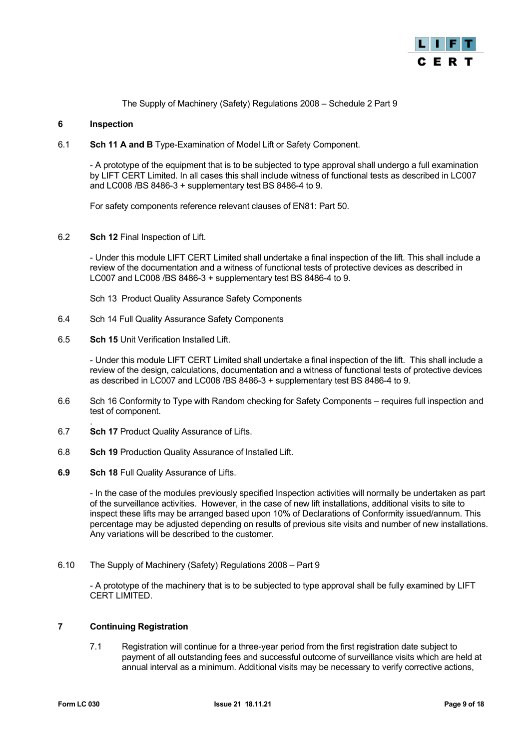

The Supply of Machinery (Safety) Regulations 2008 – Schedule 2 Part 9

# <span id="page-8-0"></span>**6 Inspection**

6.1 **Sch 11 A and B** Type-Examination of Model Lift or Safety Component.

- A prototype of the equipment that is to be subjected to type approval shall undergo a full examination by LIFT CERT Limited. In all cases this shall include witness of functional tests as described in LC007 and LC008 /BS 8486-3 + supplementary test BS 8486-4 to 9.

For safety components reference relevant clauses of EN81: Part 50.

6.2 **Sch 12** Final Inspection of Lift.

- Under this module LIFT CERT Limited shall undertake a final inspection of the lift. This shall include a review of the documentation and a witness of functional tests of protective devices as described in LC007 and LC008 /BS 8486-3 + supplementary test BS 8486-4 to 9.

Sch 13 Product Quality Assurance Safety Components

- 6.4 Sch 14 Full Quality Assurance Safety Components
- 6.5 **Sch 15** Unit Verification Installed Lift.

- Under this module LIFT CERT Limited shall undertake a final inspection of the lift. This shall include a review of the design, calculations, documentation and a witness of functional tests of protective devices as described in LC007 and LC008 /BS 8486-3 + supplementary test BS 8486-4 to 9.

- 6.6 Sch 16 Conformity to Type with Random checking for Safety Components requires full inspection and test of component.
- . 6.7 **Sch 17** Product Quality Assurance of Lifts.
- 6.8 **Sch 19** Production Quality Assurance of Installed Lift.
- **6.9 Sch 18** Full Quality Assurance of Lifts.

- In the case of the modules previously specified Inspection activities will normally be undertaken as part of the surveillance activities. However, in the case of new lift installations, additional visits to site to inspect these lifts may be arranged based upon 10% of Declarations of Conformity issued/annum. This percentage may be adjusted depending on results of previous site visits and number of new installations. Any variations will be described to the customer.

6.10 The Supply of Machinery (Safety) Regulations 2008 – Part 9

- A prototype of the machinery that is to be subjected to type approval shall be fully examined by LIFT CERT LIMITED.

#### <span id="page-8-1"></span>**7 Continuing Registration**

7.1 Registration will continue for a three-year period from the first registration date subject to payment of all outstanding fees and successful outcome of surveillance visits which are held at annual interval as a minimum. Additional visits may be necessary to verify corrective actions,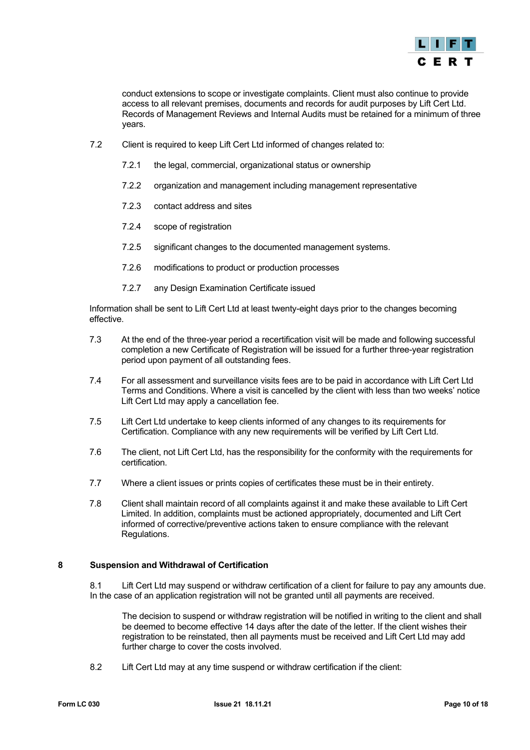

conduct extensions to scope or investigate complaints. Client must also continue to provide access to all relevant premises, documents and records for audit purposes by Lift Cert Ltd. Records of Management Reviews and Internal Audits must be retained for a minimum of three years.

- 7.2 Client is required to keep Lift Cert Ltd informed of changes related to:
	- 7.2.1 the legal, commercial, organizational status or ownership
	- 7.2.2 organization and management including management representative
	- 7.2.3 contact address and sites
	- 7.2.4 scope of registration
	- 7.2.5 significant changes to the documented management systems.
	- 7.2.6 modifications to product or production processes
	- 7.2.7 any Design Examination Certificate issued

Information shall be sent to Lift Cert Ltd at least twenty-eight days prior to the changes becoming effective.

- 7.3 At the end of the three-year period a recertification visit will be made and following successful completion a new Certificate of Registration will be issued for a further three-year registration period upon payment of all outstanding fees.
- 7.4 For all assessment and surveillance visits fees are to be paid in accordance with Lift Cert Ltd Terms and Conditions. Where a visit is cancelled by the client with less than two weeks' notice Lift Cert Ltd may apply a cancellation fee.
- 7.5 Lift Cert Ltd undertake to keep clients informed of any changes to its requirements for Certification. Compliance with any new requirements will be verified by Lift Cert Ltd.
- 7.6 The client, not Lift Cert Ltd, has the responsibility for the conformity with the requirements for certification.
- 7.7 Where a client issues or prints copies of certificates these must be in their entirety.
- 7.8 Client shall maintain record of all complaints against it and make these available to Lift Cert Limited. In addition, complaints must be actioned appropriately, documented and Lift Cert informed of corrective/preventive actions taken to ensure compliance with the relevant Regulations.

# <span id="page-9-0"></span>**8 Suspension and Withdrawal of Certification**

8.1 Lift Cert Ltd may suspend or withdraw certification of a client for failure to pay any amounts due. In the case of an application registration will not be granted until all payments are received.

The decision to suspend or withdraw registration will be notified in writing to the client and shall be deemed to become effective 14 days after the date of the letter. If the client wishes their registration to be reinstated, then all payments must be received and Lift Cert Ltd may add further charge to cover the costs involved.

8.2 Lift Cert Ltd may at any time suspend or withdraw certification if the client: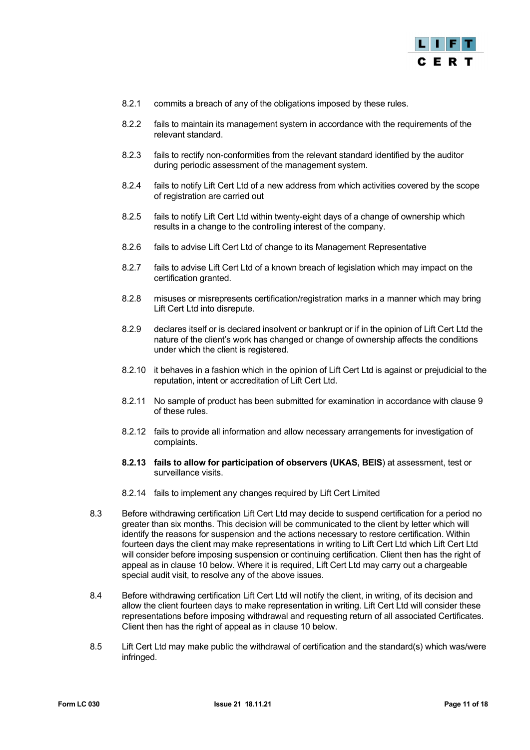

- 8.2.1 commits a breach of any of the obligations imposed by these rules.
- 8.2.2 fails to maintain its management system in accordance with the requirements of the relevant standard.
- 8.2.3 fails to rectify non-conformities from the relevant standard identified by the auditor during periodic assessment of the management system.
- 8.2.4 fails to notify Lift Cert Ltd of a new address from which activities covered by the scope of registration are carried out
- 8.2.5 fails to notify Lift Cert Ltd within twenty-eight days of a change of ownership which results in a change to the controlling interest of the company.
- 8.2.6 fails to advise Lift Cert Ltd of change to its Management Representative
- 8.2.7 fails to advise Lift Cert Ltd of a known breach of legislation which may impact on the certification granted.
- 8.2.8 misuses or misrepresents certification/registration marks in a manner which may bring Lift Cert Ltd into disrepute.
- 8.2.9 declares itself or is declared insolvent or bankrupt or if in the opinion of Lift Cert Ltd the nature of the client's work has changed or change of ownership affects the conditions under which the client is registered.
- 8.2.10 it behaves in a fashion which in the opinion of Lift Cert Ltd is against or prejudicial to the reputation, intent or accreditation of Lift Cert Ltd.
- 8.2.11 No sample of product has been submitted for examination in accordance with clause 9 of these rules.
- 8.2.12 fails to provide all information and allow necessary arrangements for investigation of complaints.
- **8.2.13 fails to allow for participation of observers (UKAS, BEIS**) at assessment, test or surveillance visits.
- 8.2.14 fails to implement any changes required by Lift Cert Limited
- 8.3 Before withdrawing certification Lift Cert Ltd may decide to suspend certification for a period no greater than six months. This decision will be communicated to the client by letter which will identify the reasons for suspension and the actions necessary to restore certification. Within fourteen days the client may make representations in writing to Lift Cert Ltd which Lift Cert Ltd will consider before imposing suspension or continuing certification. Client then has the right of appeal as in clause 10 below. Where it is required, Lift Cert Ltd may carry out a chargeable special audit visit, to resolve any of the above issues.
- 8.4 Before withdrawing certification Lift Cert Ltd will notify the client, in writing, of its decision and allow the client fourteen days to make representation in writing. Lift Cert Ltd will consider these representations before imposing withdrawal and requesting return of all associated Certificates. Client then has the right of appeal as in clause 10 below.
- 8.5 Lift Cert Ltd may make public the withdrawal of certification and the standard(s) which was/were infringed.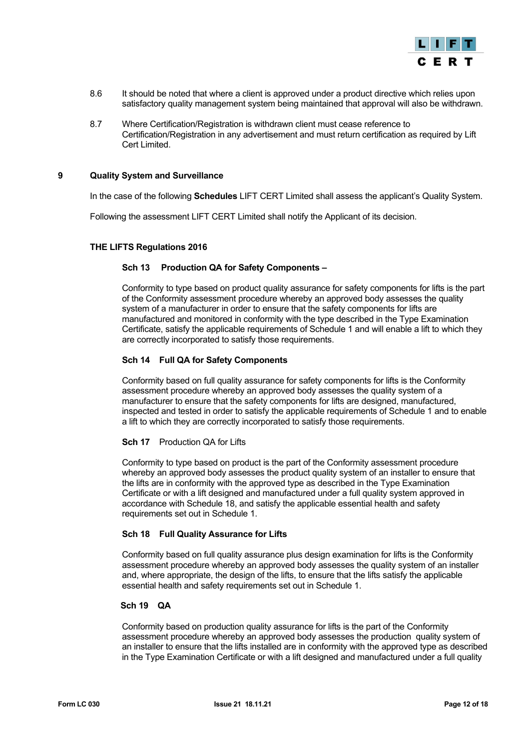

- 8.6 It should be noted that where a client is approved under a product directive which relies upon satisfactory quality management system being maintained that approval will also be withdrawn.
- 8.7 Where Certification/Registration is withdrawn client must cease reference to Certification/Registration in any advertisement and must return certification as required by Lift Cert Limited.

#### <span id="page-11-0"></span>**9 Quality System and Surveillance**

In the case of the following **Schedules** LIFT CERT Limited shall assess the applicant's Quality System.

Following the assessment LIFT CERT Limited shall notify the Applicant of its decision.

# **THE LIFTS Regulations 2016**

# **Sch 13 Production QA for Safety Components –**

Conformity to type based on product quality assurance for safety components for lifts is the part of the Conformity assessment procedure whereby an approved body assesses the quality system of a manufacturer in order to ensure that the safety components for lifts are manufactured and monitored in conformity with the type described in the Type Examination Certificate, satisfy the applicable requirements of Schedule 1 and will enable a lift to which they are correctly incorporated to satisfy those requirements.

#### **Sch 14 Full QA for Safety Components**

Conformity based on full quality assurance for safety components for lifts is the Conformity assessment procedure whereby an approved body assesses the quality system of a manufacturer to ensure that the safety components for lifts are designed, manufactured, inspected and tested in order to satisfy the applicable requirements of Schedule 1 and to enable a lift to which they are correctly incorporated to satisfy those requirements.

#### **Sch 17** Production QA for Lifts

Conformity to type based on product is the part of the Conformity assessment procedure whereby an approved body assesses the product quality system of an installer to ensure that the lifts are in conformity with the approved type as described in the Type Examination Certificate or with a lift designed and manufactured under a full quality system approved in accordance with Schedule 18, and satisfy the applicable essential health and safety requirements set out in Schedule 1.

# **Sch 18 Full Quality Assurance for Lifts**

Conformity based on full quality assurance plus design examination for lifts is the Conformity assessment procedure whereby an approved body assesses the quality system of an installer and, where appropriate, the design of the lifts, to ensure that the lifts satisfy the applicable essential health and safety requirements set out in Schedule 1.

#### **Sch 19 QA**

Conformity based on production quality assurance for lifts is the part of the Conformity assessment procedure whereby an approved body assesses the production quality system of an installer to ensure that the lifts installed are in conformity with the approved type as described in the Type Examination Certificate or with a lift designed and manufactured under a full quality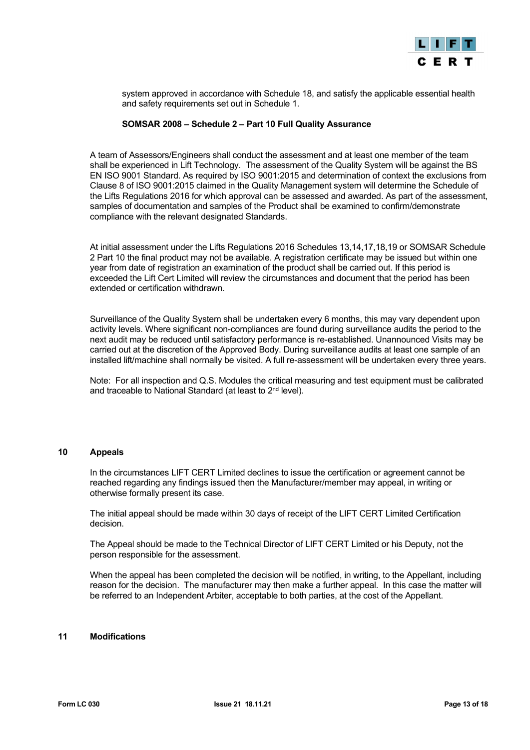

system approved in accordance with Schedule 18, and satisfy the applicable essential health and safety requirements set out in Schedule 1.

#### **SOMSAR 2008 – Schedule 2 – Part 10 Full Quality Assurance**

A team of Assessors/Engineers shall conduct the assessment and at least one member of the team shall be experienced in Lift Technology. The assessment of the Quality System will be against the BS EN ISO 9001 Standard. As required by ISO 9001:2015 and determination of context the exclusions from Clause 8 of ISO 9001:2015 claimed in the Quality Management system will determine the Schedule of the Lifts Regulations 2016 for which approval can be assessed and awarded. As part of the assessment, samples of documentation and samples of the Product shall be examined to confirm/demonstrate compliance with the relevant designated Standards.

At initial assessment under the Lifts Regulations 2016 Schedules 13,14,17,18,19 or SOMSAR Schedule 2 Part 10 the final product may not be available. A registration certificate may be issued but within one year from date of registration an examination of the product shall be carried out. If this period is exceeded the Lift Cert Limited will review the circumstances and document that the period has been extended or certification withdrawn.

Surveillance of the Quality System shall be undertaken every 6 months, this may vary dependent upon activity levels. Where significant non-compliances are found during surveillance audits the period to the next audit may be reduced until satisfactory performance is re-established. Unannounced Visits may be carried out at the discretion of the Approved Body. During surveillance audits at least one sample of an installed lift/machine shall normally be visited. A full re-assessment will be undertaken every three years.

Note: For all inspection and Q.S. Modules the critical measuring and test equipment must be calibrated and traceable to National Standard (at least to 2nd level).

#### <span id="page-12-0"></span>**10 Appeals**

In the circumstances LIFT CERT Limited declines to issue the certification or agreement cannot be reached regarding any findings issued then the Manufacturer/member may appeal, in writing or otherwise formally present its case.

The initial appeal should be made within 30 days of receipt of the LIFT CERT Limited Certification decision.

The Appeal should be made to the Technical Director of LIFT CERT Limited or his Deputy, not the person responsible for the assessment.

When the appeal has been completed the decision will be notified, in writing, to the Appellant, including reason for the decision. The manufacturer may then make a further appeal. In this case the matter will be referred to an Independent Arbiter, acceptable to both parties, at the cost of the Appellant.

# <span id="page-12-1"></span>**11 Modifications**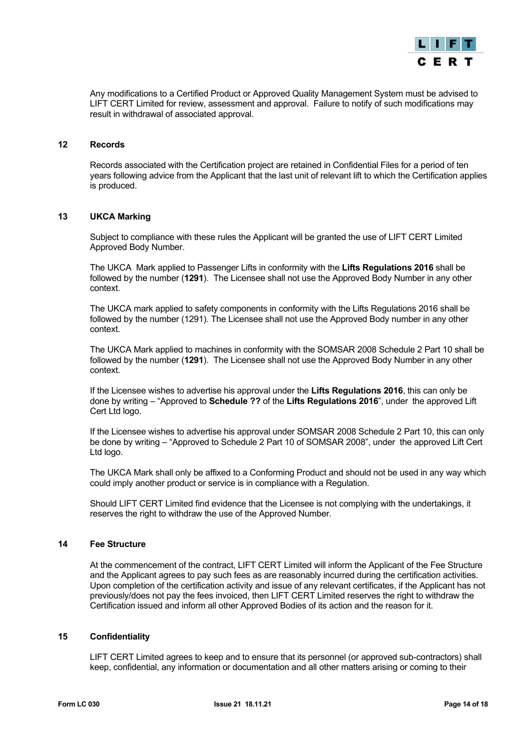

Any modifications to a Certified Product or Approved Quality Management System must be advised to LIFT CERT Limited for review, assessment and approval. Failure to notify of such modifications may result in withdrawal of associated approval.

#### <span id="page-13-0"></span>**12 Records**

Records associated with the Certification project are retained in Confidential Files for a period of ten years following advice from the Applicant that the last unit of relevant lift to which the Certification applies is produced.

# <span id="page-13-1"></span>**13 UKCA Marking**

Subject to compliance with these rules the Applicant will be granted the use of LIFT CERT Limited Approved Body Number.

The UKCA Mark applied to Passenger Lifts in conformity with the **Lifts Regulations 2016** shall be followed by the number (**1291**). The Licensee shall not use the Approved Body Number in any other context.

The UKCA mark applied to safety components in conformity with the Lifts Regulations 2016 shall be followed by the number (1291). The Licensee shall not use the Approved Body number in any other context.

The UKCA Mark applied to machines in conformity with the SOMSAR 2008 Schedule 2 Part 10 shall be followed by the number (**1291**). The Licensee shall not use the Approved Body Number in any other context.

If the Licensee wishes to advertise his approval under the **Lifts Regulations 2016**, this can only be done by writing – "Approved to **Schedule ??** of the **Lifts Regulations 2016**", under the approved Lift Cert Ltd logo.

If the Licensee wishes to advertise his approval under SOMSAR 2008 Schedule 2 Part 10, this can only be done by writing – "Approved to Schedule 2 Part 10 of SOMSAR 2008", under the approved Lift Cert Ltd logo.

The UKCA Mark shall only be affixed to a Conforming Product and should not be used in any way which could imply another product or service is in compliance with a Regulation.

Should LIFT CERT Limited find evidence that the Licensee is not complying with the undertakings, it reserves the right to withdraw the use of the Approved Number.

# <span id="page-13-2"></span>**14 Fee Structure**

At the commencement of the contract, LIFT CERT Limited will inform the Applicant of the Fee Structure and the Applicant agrees to pay such fees as are reasonably incurred during the certification activities. Upon completion of the certification activity and issue of any relevant certificates, if the Applicant has not previously/does not pay the fees invoiced, then LIFT CERT Limited reserves the right to withdraw the Certification issued and inform all other Approved Bodies of its action and the reason for it.

# <span id="page-13-3"></span>**15 Confidentiality**

LIFT CERT Limited agrees to keep and to ensure that its personnel (or approved sub-contractors) shall keep, confidential, any information or documentation and all other matters arising or coming to their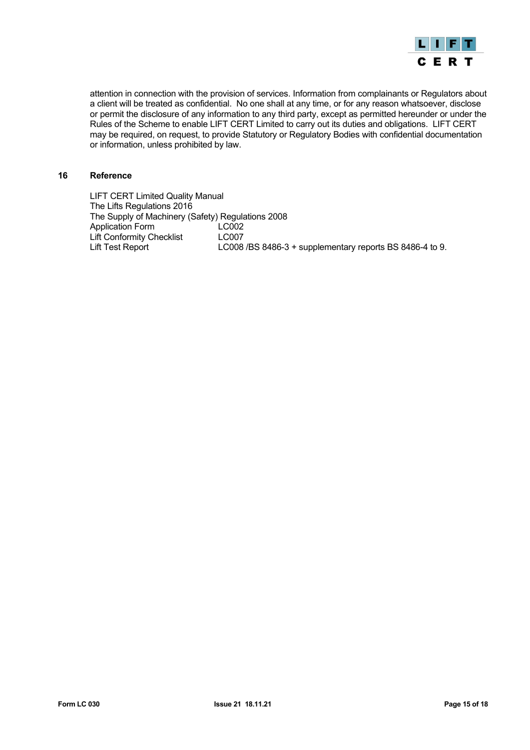

attention in connection with the provision of services. Information from complainants or Regulators about a client will be treated as confidential. No one shall at any time, or for any reason whatsoever, disclose or permit the disclosure of any information to any third party, except as permitted hereunder or under the Rules of the Scheme to enable LIFT CERT Limited to carry out its duties and obligations. LIFT CERT may be required, on request, to provide Statutory or Regulatory Bodies with confidential documentation or information, unless prohibited by law.

#### <span id="page-14-0"></span>**16 Reference**

LIFT CERT Limited Quality Manual The Lifts Regulations 2016 The Supply of Machinery (Safety) Regulations 2008 Application Form LC002<br>
Lift Conformity Checklist LC007 Lift Conformity Checklist<br>Lift Test Report LC008 /BS 8486-3 + supplementary reports BS 8486-4 to 9.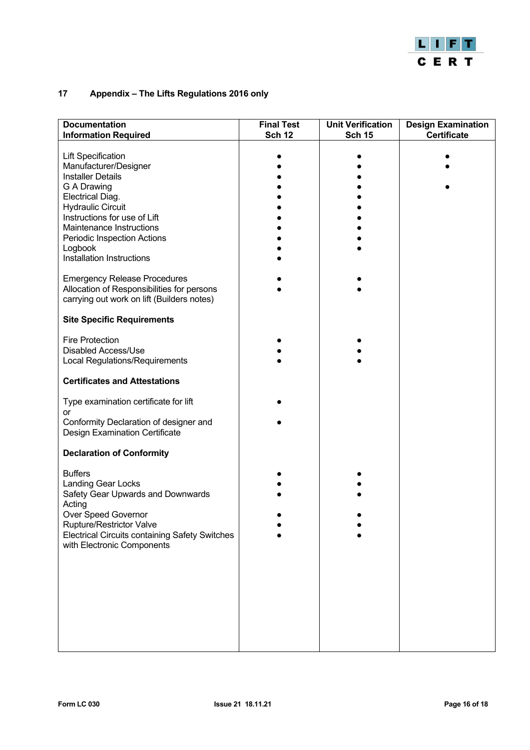

# <span id="page-15-0"></span>**17 Appendix – The Lifts Regulations 2016 only**

| <b>Documentation</b><br><b>Information Required</b>                                                                                                                                                                                                                                                                                                                                                                 | <b>Final Test</b><br><b>Sch 12</b> | <b>Unit Verification</b><br><b>Sch 15</b> | <b>Design Examination</b><br><b>Certificate</b> |
|---------------------------------------------------------------------------------------------------------------------------------------------------------------------------------------------------------------------------------------------------------------------------------------------------------------------------------------------------------------------------------------------------------------------|------------------------------------|-------------------------------------------|-------------------------------------------------|
| <b>Lift Specification</b><br>Manufacturer/Designer<br><b>Installer Details</b><br>G A Drawing<br>Electrical Diag.<br><b>Hydraulic Circuit</b><br>Instructions for use of Lift<br>Maintenance Instructions<br>Periodic Inspection Actions<br>Logbook<br>Installation Instructions<br><b>Emergency Release Procedures</b><br>Allocation of Responsibilities for persons<br>carrying out work on lift (Builders notes) |                                    |                                           |                                                 |
| <b>Site Specific Requirements</b>                                                                                                                                                                                                                                                                                                                                                                                   |                                    |                                           |                                                 |
| <b>Fire Protection</b><br>Disabled Access/Use<br>Local Regulations/Requirements<br><b>Certificates and Attestations</b>                                                                                                                                                                                                                                                                                             |                                    |                                           |                                                 |
| Type examination certificate for lift                                                                                                                                                                                                                                                                                                                                                                               |                                    |                                           |                                                 |
| or<br>Conformity Declaration of designer and<br><b>Design Examination Certificate</b>                                                                                                                                                                                                                                                                                                                               |                                    |                                           |                                                 |
| <b>Declaration of Conformity</b>                                                                                                                                                                                                                                                                                                                                                                                    |                                    |                                           |                                                 |
| <b>Buffers</b><br><b>Landing Gear Locks</b><br>Safety Gear Upwards and Downwards<br>Acting<br>Over Speed Governor<br>Rupture/Restrictor Valve<br><b>Electrical Circuits containing Safety Switches</b><br>with Electronic Components                                                                                                                                                                                |                                    |                                           |                                                 |
|                                                                                                                                                                                                                                                                                                                                                                                                                     |                                    |                                           |                                                 |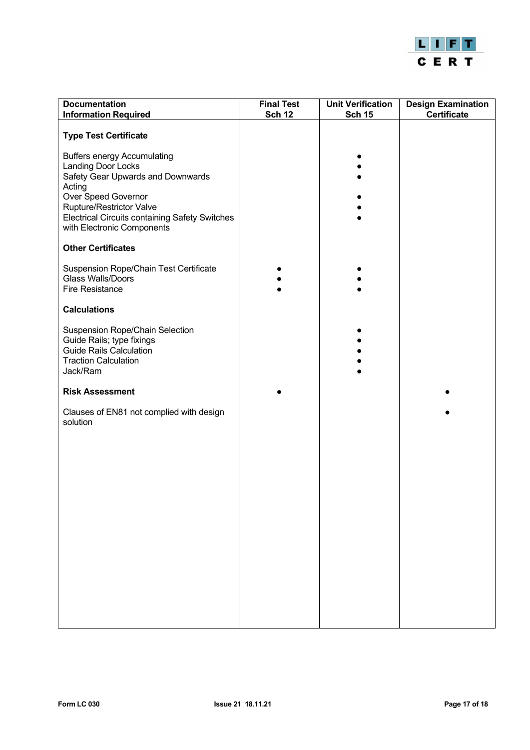

| <b>Documentation</b><br><b>Information Required</b>                                                                                                                                                                                                      | <b>Final Test</b><br><b>Sch 12</b> | <b>Unit Verification</b><br><b>Sch 15</b> | <b>Design Examination</b><br><b>Certificate</b> |
|----------------------------------------------------------------------------------------------------------------------------------------------------------------------------------------------------------------------------------------------------------|------------------------------------|-------------------------------------------|-------------------------------------------------|
| <b>Type Test Certificate</b>                                                                                                                                                                                                                             |                                    |                                           |                                                 |
| <b>Buffers energy Accumulating</b><br><b>Landing Door Locks</b><br>Safety Gear Upwards and Downwards<br>Acting<br>Over Speed Governor<br>Rupture/Restrictor Valve<br><b>Electrical Circuits containing Safety Switches</b><br>with Electronic Components |                                    |                                           |                                                 |
| <b>Other Certificates</b>                                                                                                                                                                                                                                |                                    |                                           |                                                 |
| Suspension Rope/Chain Test Certificate<br><b>Glass Walls/Doors</b><br>Fire Resistance                                                                                                                                                                    |                                    |                                           |                                                 |
| <b>Calculations</b>                                                                                                                                                                                                                                      |                                    |                                           |                                                 |
| Suspension Rope/Chain Selection<br>Guide Rails; type fixings<br><b>Guide Rails Calculation</b><br><b>Traction Calculation</b><br>Jack/Ram                                                                                                                |                                    |                                           |                                                 |
| <b>Risk Assessment</b>                                                                                                                                                                                                                                   |                                    |                                           |                                                 |
| Clauses of EN81 not complied with design<br>solution                                                                                                                                                                                                     |                                    |                                           |                                                 |